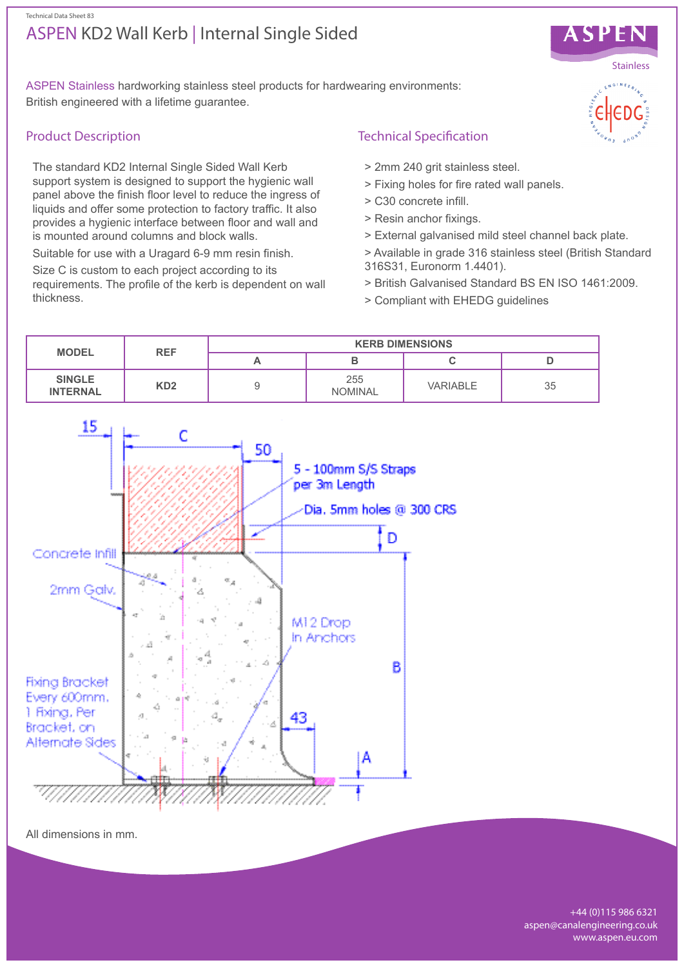## ASPEN KD2 Wall Kerb | Internal Single Sided Technical Data Sheet 83



ASPEN Stainless hardworking stainless steel products for hardwearing environments: British engineered with a lifetime guarantee.

# Product Description

The standard KD2 Internal Single Sided Wall Kerb support system is designed to support the hygienic wall panel above the finish floor level to reduce the ingress of liquids and offer some protection to factory traffic. It also provides a hygienic interface between floor and wall and is mounted around columns and block walls.

Suitable for use with a Uragard 6-9 mm resin finish.

Size C is custom to each project according to its requirements. The profile of the kerb is dependent on wall thickness.

# Technical Specification

- > 2mm 240 grit stainless steel.
- > Fixing holes for fire rated wall panels.
- > C30 concrete infill.
- > Resin anchor fixings.
- > External galvanised mild steel channel back plate.
- > Available in grade 316 stainless steel (British Standard 316S31, Euronorm 1.4401).
- > British Galvanised Standard BS EN ISO 1461:2009.
- > Compliant with EHEDG guidelines



All dimensions in mm.

+44 (0)115 986 6321 aspen@canalengineering.co.uk www.aspen.eu.com